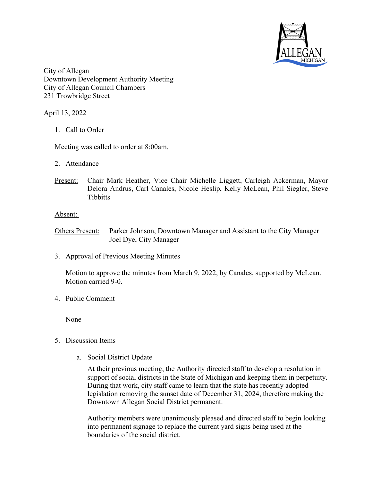

City of Allegan Downtown Development Authority Meeting City of Allegan Council Chambers 231 Trowbridge Street

April 13, 2022

1. Call to Order

Meeting was called to order at 8:00am.

- 2. Attendance
- Present: Chair Mark Heather, Vice Chair Michelle Liggett, Carleigh Ackerman, Mayor Delora Andrus, Carl Canales, Nicole Heslip, Kelly McLean, Phil Siegler, Steve **Tibbitts**

## Absent:

Others Present: Parker Johnson, Downtown Manager and Assistant to the City Manager Joel Dye, City Manager

3. Approval of Previous Meeting Minutes

Motion to approve the minutes from March 9, 2022, by Canales, supported by McLean. Motion carried 9-0.

4. Public Comment

None

- 5. Discussion Items
	- a. Social District Update

At their previous meeting, the Authority directed staff to develop a resolution in support of social districts in the State of Michigan and keeping them in perpetuity. During that work, city staff came to learn that the state has recently adopted legislation removing the sunset date of December 31, 2024, therefore making the Downtown Allegan Social District permanent.

Authority members were unanimously pleased and directed staff to begin looking into permanent signage to replace the current yard signs being used at the boundaries of the social district.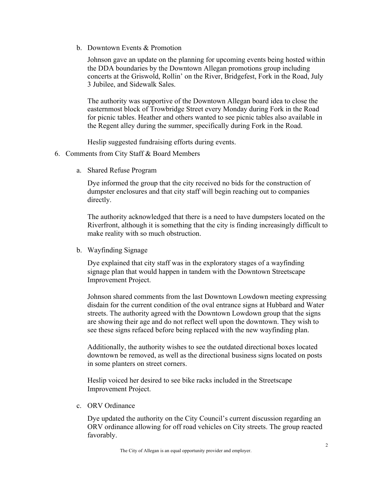b. Downtown Events & Promotion

Johnson gave an update on the planning for upcoming events being hosted within the DDA boundaries by the Downtown Allegan promotions group including concerts at the Griswold, Rollin' on the River, Bridgefest, Fork in the Road, July 3 Jubilee, and Sidewalk Sales.

The authority was supportive of the Downtown Allegan board idea to close the easternmost block of Trowbridge Street every Monday during Fork in the Road for picnic tables. Heather and others wanted to see picnic tables also available in the Regent alley during the summer, specifically during Fork in the Road.

Heslip suggested fundraising efforts during events.

- 6. Comments from City Staff & Board Members
	- a. Shared Refuse Program

Dye informed the group that the city received no bids for the construction of dumpster enclosures and that city staff will begin reaching out to companies directly.

The authority acknowledged that there is a need to have dumpsters located on the Riverfront, although it is something that the city is finding increasingly difficult to make reality with so much obstruction.

b. Wayfinding Signage

Dye explained that city staff was in the exploratory stages of a wayfinding signage plan that would happen in tandem with the Downtown Streetscape Improvement Project.

Johnson shared comments from the last Downtown Lowdown meeting expressing disdain for the current condition of the oval entrance signs at Hubbard and Water streets. The authority agreed with the Downtown Lowdown group that the signs are showing their age and do not reflect well upon the downtown. They wish to see these signs refaced before being replaced with the new wayfinding plan.

Additionally, the authority wishes to see the outdated directional boxes located downtown be removed, as well as the directional business signs located on posts in some planters on street corners.

Heslip voiced her desired to see bike racks included in the Streetscape Improvement Project.

c. ORV Ordinance

Dye updated the authority on the City Council's current discussion regarding an ORV ordinance allowing for off road vehicles on City streets. The group reacted favorably.